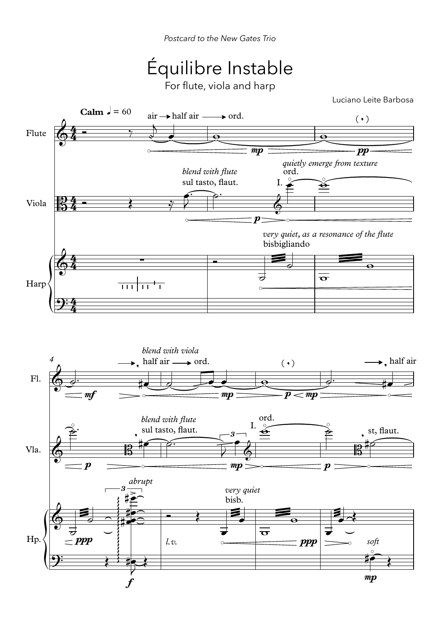## Équilibre Instable

For flute, viola and harp

Luciano Leite Barbosa